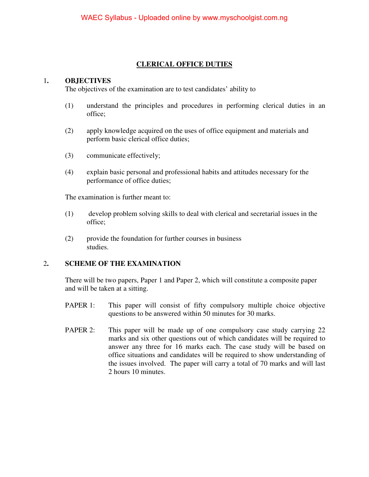#### **CLERICAL OFFICE DUTIES**

#### 1**. OBJECTIVES**

The objectives of the examination are to test candidates' ability to

- (1) understand the principles and procedures in performing clerical duties in an office;
- (2) apply knowledge acquired on the uses of office equipment and materials and perform basic clerical office duties;
- (3) communicate effectively;
- (4) explain basic personal and professional habits and attitudes necessary for the performance of office duties;

The examination is further meant to:

- (1) develop problem solving skills to deal with clerical and secretarial issues in the office;
- (2) provide the foundation for further courses in business studies.

#### 2**. SCHEME OF THE EXAMINATION**

There will be two papers, Paper 1 and Paper 2, which will constitute a composite paper and will be taken at a sitting.

- PAPER 1: This paper will consist of fifty compulsory multiple choice objective questions to be answered within 50 minutes for 30 marks.
- PAPER 2: This paper will be made up of one compulsory case study carrying 22 marks and six other questions out of which candidates will be required to answer any three for 16 marks each. The case study will be based on office situations and candidates will be required to show understanding of the issues involved. The paper will carry a total of 70 marks and will last 2 hours 10 minutes.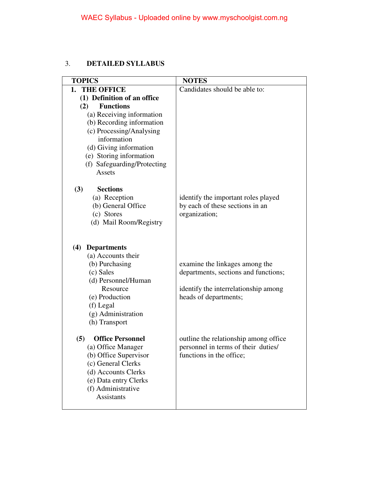#### 3. **DETAILED SYLLABUS**

| <b>TOPICS</b>                  | <b>NOTES</b>                           |
|--------------------------------|----------------------------------------|
| 1. THE OFFICE                  | Candidates should be able to:          |
| (1) Definition of an office    |                                        |
| <b>Functions</b><br>(2)        |                                        |
| (a) Receiving information      |                                        |
| (b) Recording information      |                                        |
| (c) Processing/Analysing       |                                        |
| information                    |                                        |
| (d) Giving information         |                                        |
| (e) Storing information        |                                        |
| (f) Safeguarding/Protecting    |                                        |
| Assets                         |                                        |
|                                |                                        |
| (3)<br><b>Sections</b>         |                                        |
| (a) Reception                  | identify the important roles played    |
| (b) General Office             | by each of these sections in an        |
| (c) Stores                     | organization;                          |
| (d) Mail Room/Registry         |                                        |
|                                |                                        |
| (4) Departments                |                                        |
| (a) Accounts their             |                                        |
| (b) Purchasing                 | examine the linkages among the         |
| (c) Sales                      | departments, sections and functions;   |
| (d) Personnel/Human            |                                        |
| Resource                       | identify the interrelationship among   |
| (e) Production                 | heads of departments;                  |
| (f) Legal                      |                                        |
| (g) Administration             |                                        |
| (h) Transport                  |                                        |
|                                |                                        |
| <b>Office Personnel</b><br>(5) | outline the relationship among office. |
| (a) Office Manager             | personnel in terms of their duties/    |
| (b) Office Supervisor          | functions in the office;               |
| (c) General Clerks             |                                        |
| (d) Accounts Clerks            |                                        |
| (e) Data entry Clerks          |                                        |
| (f) Administrative             |                                        |
| <b>Assistants</b>              |                                        |
|                                |                                        |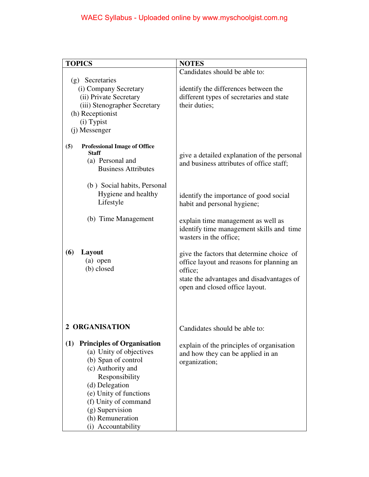| <b>TOPICS</b>                                                                                                                                                                                                                                                      | <b>NOTES</b>                                                                                                                                                                     |
|--------------------------------------------------------------------------------------------------------------------------------------------------------------------------------------------------------------------------------------------------------------------|----------------------------------------------------------------------------------------------------------------------------------------------------------------------------------|
|                                                                                                                                                                                                                                                                    | Candidates should be able to:                                                                                                                                                    |
| (g) Secretaries<br>(i) Company Secretary<br>(ii) Private Secretary<br>(iii) Stenographer Secretary<br>(h) Receptionist<br>(i) Typist<br>(j) Messenger                                                                                                              | identify the differences between the<br>different types of secretaries and state<br>their duties;                                                                                |
| <b>Professional Image of Office</b><br>(5)<br><b>Staff</b><br>(a) Personal and<br><b>Business Attributes</b>                                                                                                                                                       | give a detailed explanation of the personal<br>and business attributes of office staff;                                                                                          |
| (b) Social habits, Personal<br>Hygiene and healthy<br>Lifestyle                                                                                                                                                                                                    | identify the importance of good social<br>habit and personal hygiene;                                                                                                            |
| (b) Time Management                                                                                                                                                                                                                                                | explain time management as well as<br>identify time management skills and time<br>wasters in the office;                                                                         |
| (6)<br>Layout<br>$(a)$ open<br>(b) closed                                                                                                                                                                                                                          | give the factors that determine choice of<br>office layout and reasons for planning an<br>office;<br>state the advantages and disadvantages of<br>open and closed office layout. |
| 2 ORGANISATION                                                                                                                                                                                                                                                     | Candidates should be able to:                                                                                                                                                    |
| <b>Principles of Organisation</b><br>(1)<br>(a) Unity of objectives<br>(b) Span of control<br>(c) Authority and<br>Responsibility<br>(d) Delegation<br>(e) Unity of functions<br>(f) Unity of command<br>(g) Supervision<br>(h) Remuneration<br>(i) Accountability | explain of the principles of organisation<br>and how they can be applied in an<br>organization;                                                                                  |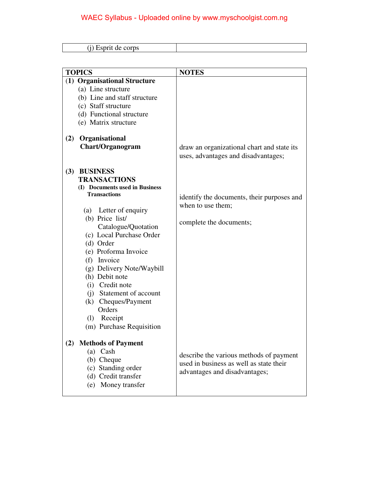| <b>TOPICS</b>                                                                                                                                                                                                                                                                                                                                                                                                             | <b>NOTES</b>                                                                                                                      |
|---------------------------------------------------------------------------------------------------------------------------------------------------------------------------------------------------------------------------------------------------------------------------------------------------------------------------------------------------------------------------------------------------------------------------|-----------------------------------------------------------------------------------------------------------------------------------|
| (1) Organisational Structure<br>(a) Line structure<br>(b) Line and staff structure<br>(c) Staff structure<br>(d) Functional structure<br>(e) Matrix structure<br>Organisational<br>(2)<br><b>Chart/Organogram</b>                                                                                                                                                                                                         | draw an organizational chart and state its                                                                                        |
| (3) BUSINESS<br><b>TRANSACTIONS</b><br>(I) Documents used in Business<br><b>Transactions</b><br>(a) Letter of enquiry<br>(b) Price list/<br>Catalogue/Quotation<br>(c) Local Purchase Order<br>(d) Order<br>(e) Proforma Invoice<br>(f) Invoice<br>(g) Delivery Note/Waybill<br>(h) Debit note<br>(i) Credit note<br>(j) Statement of account<br>(k) Cheques/Payment<br>Orders<br>(l) Receipt<br>(m) Purchase Requisition | uses, advantages and disadvantages;<br>identify the documents, their purposes and<br>when to use them;<br>complete the documents; |
| <b>Methods of Payment</b><br>(2)<br>$(a)$ Cash<br>(b) Cheque<br>(c) Standing order<br>(d) Credit transfer<br>(e) Money transfer                                                                                                                                                                                                                                                                                           | describe the various methods of payment<br>used in business as well as state their<br>advantages and disadvantages;               |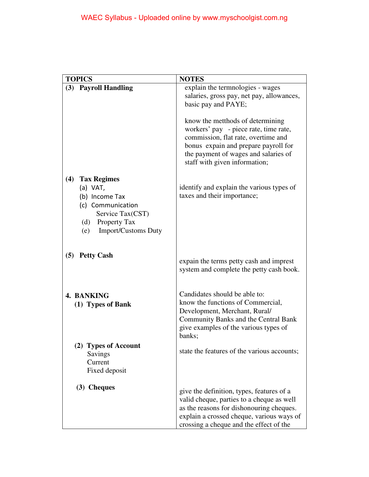| <b>TOPICS</b>                     | <b>NOTES</b>                                                                          |
|-----------------------------------|---------------------------------------------------------------------------------------|
| (3) Payroll Handling              | explain the termnologies - wages                                                      |
|                                   | salaries, gross pay, net pay, allowances,<br>basic pay and PAYE;                      |
|                                   |                                                                                       |
|                                   | know the metthods of determining                                                      |
|                                   | workers' pay - piece rate, time rate,                                                 |
|                                   | commission, flat rate, overtime and                                                   |
|                                   | bonus expain and prepare payroll for<br>the payment of wages and salaries of          |
|                                   | staff with given information;                                                         |
| <b>Tax Regimes</b><br>(4)         |                                                                                       |
| (a) VAT,                          | identify and explain the various types of                                             |
| (b) Income Tax                    | taxes and their importance;                                                           |
| (c) Communication                 |                                                                                       |
| Service Tax(CST)                  |                                                                                       |
| (d) Property Tax                  |                                                                                       |
| <b>Import/Customs Duty</b><br>(e) |                                                                                       |
|                                   |                                                                                       |
| (5) Petty Cash                    |                                                                                       |
|                                   | expain the terms petty cash and imprest                                               |
|                                   | system and complete the petty cash book.                                              |
|                                   |                                                                                       |
| 4. BANKING                        | Candidates should be able to:                                                         |
| (1) Types of Bank                 | know the functions of Commercial,                                                     |
|                                   | Development, Merchant, Rural/                                                         |
|                                   | <b>Community Banks and the Central Bank</b><br>give examples of the various types of  |
|                                   | banks:                                                                                |
| (2) Types of Account              |                                                                                       |
| Savings                           | state the features of the various accounts;                                           |
| Current                           |                                                                                       |
| Fixed deposit                     |                                                                                       |
| (3) Cheques                       |                                                                                       |
|                                   | give the definition, types, features of a                                             |
|                                   | valid cheque, parties to a cheque as well                                             |
|                                   | as the reasons for dishonouring cheques.<br>explain a crossed cheque, various ways of |
|                                   | crossing a cheque and the effect of the                                               |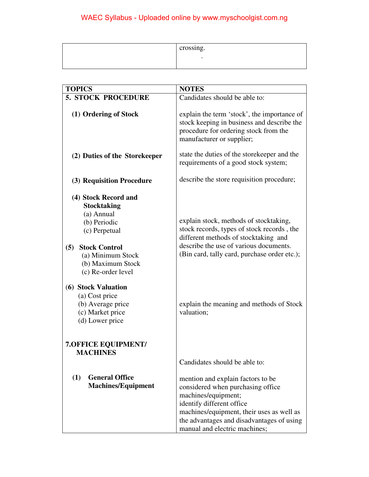| crossing. |
|-----------|
|           |

| <b>TOPICS</b>                                                                                                                                                                            | <b>NOTES</b>                                                                                                                                                                                                                                          |
|------------------------------------------------------------------------------------------------------------------------------------------------------------------------------------------|-------------------------------------------------------------------------------------------------------------------------------------------------------------------------------------------------------------------------------------------------------|
| <b>5. STOCK PROCEDURE</b>                                                                                                                                                                | Candidates should be able to:                                                                                                                                                                                                                         |
| (1) Ordering of Stock                                                                                                                                                                    | explain the term 'stock', the importance of<br>stock keeping in business and describe the<br>procedure for ordering stock from the<br>manufacturer or supplier;                                                                                       |
| (2) Duties of the Storekeeper                                                                                                                                                            | state the duties of the storekeeper and the<br>requirements of a good stock system;                                                                                                                                                                   |
| (3) Requisition Procedure                                                                                                                                                                | describe the store requisition procedure;                                                                                                                                                                                                             |
| (4) Stock Record and<br><b>Stocktaking</b><br>(a) Annual<br>(b) Periodic<br>(c) Perpetual<br><b>Stock Control</b><br>(5)<br>(a) Minimum Stock<br>(b) Maximum Stock<br>(c) Re-order level | explain stock, methods of stocktaking,<br>stock records, types of stock records, the<br>different methods of stocktaking and<br>describe the use of various documents.<br>(Bin card, tally card, purchase order etc.);                                |
| (6) Stock Valuation<br>(a) Cost price<br>(b) Average price<br>(c) Market price<br>(d) Lower price                                                                                        | explain the meaning and methods of Stock<br>valuation;                                                                                                                                                                                                |
| <b>7.OFFICE EQUIPMENT/</b><br><b>MACHINES</b>                                                                                                                                            | Candidates should be able to:                                                                                                                                                                                                                         |
| <b>General Office</b><br>(1)<br><b>Machines/Equipment</b>                                                                                                                                | mention and explain factors to be<br>considered when purchasing office<br>machines/equipment;<br>identify different office<br>machines/equipment, their uses as well as<br>the advantages and disadvantages of using<br>manual and electric machines; |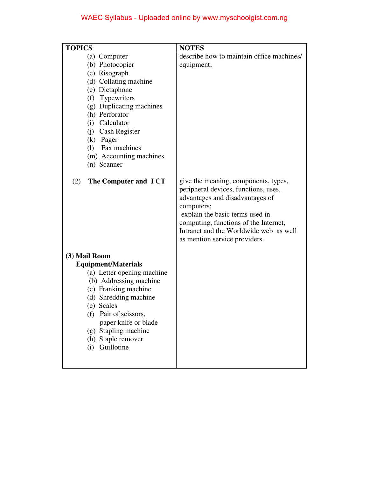| <b>TOPICS</b>                                                                                                                                                                                                                                                                             | <b>NOTES</b>                                                                                                                                                                                                                                                                         |
|-------------------------------------------------------------------------------------------------------------------------------------------------------------------------------------------------------------------------------------------------------------------------------------------|--------------------------------------------------------------------------------------------------------------------------------------------------------------------------------------------------------------------------------------------------------------------------------------|
| (a) Computer<br>(b) Photocopier<br>(c) Risograph<br>(d) Collating machine<br>(e) Dictaphone<br>(f) Typewriters<br>(g) Duplicating machines<br>(h) Perforator<br>(i) Calculator<br>(j) Cash Register<br>(k) Pager<br>(1) Fax machines<br>(m) Accounting machines<br>(n) Scanner            | describe how to maintain office machines/<br>equipment;                                                                                                                                                                                                                              |
| The Computer and ICT<br>(2)                                                                                                                                                                                                                                                               | give the meaning, components, types,<br>peripheral devices, functions, uses,<br>advantages and disadvantages of<br>computers;<br>explain the basic terms used in<br>computing, functions of the Internet,<br>Intranet and the Worldwide web as well<br>as mention service providers. |
| (3) Mail Room<br><b>Equipment/Materials</b><br>(a) Letter opening machine<br>(b) Addressing machine<br>(c) Franking machine<br>(d) Shredding machine<br>(e) Scales<br>(f)<br>Pair of scissors,<br>paper knife or blade<br>(g) Stapling machine<br>(h) Staple remover<br>Guillotine<br>(i) |                                                                                                                                                                                                                                                                                      |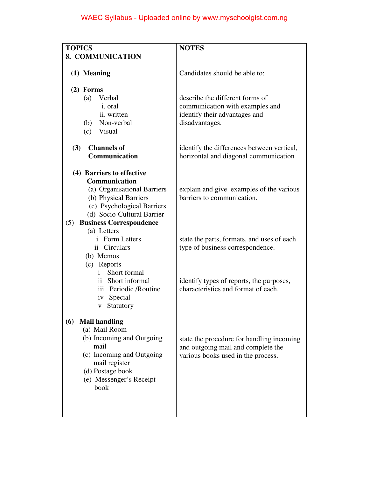| <b>TOPICS</b>                         | <b>NOTES</b>                               |
|---------------------------------------|--------------------------------------------|
| 8. COMMUNICATION                      |                                            |
|                                       |                                            |
| (1) Meaning                           | Candidates should be able to:              |
|                                       |                                            |
| $(2)$ Forms                           |                                            |
| (a)<br>Verbal                         | describe the different forms of            |
| <i>i</i> . oral                       | communication with examples and            |
| ii. written                           | identify their advantages and              |
| (b) Non-verbal                        | disadvantages.                             |
| (c) Visual                            |                                            |
| <b>Channels of</b><br>(3)             | identify the differences between vertical, |
| Communication                         | horizontal and diagonal communication      |
|                                       |                                            |
| (4) Barriers to effective             |                                            |
| <b>Communication</b>                  |                                            |
| (a) Organisational Barriers           | explain and give examples of the various   |
| (b) Physical Barriers                 | barriers to communication.                 |
| (c) Psychological Barriers            |                                            |
| (d) Socio-Cultural Barrier            |                                            |
| <b>Business Correspondence</b><br>(5) |                                            |
| (a) Letters                           |                                            |
| <i>i</i> Form Letters                 | state the parts, formats, and uses of each |
| ii Circulars                          | type of business correspondence.           |
| (b) Memos                             |                                            |
| (c) Reports<br>Short formal<br>i.     |                                            |
| ii Short informal                     | identify types of reports, the purposes,   |
| iii Periodic /Routine                 | characteristics and format of each.        |
| iv Special                            |                                            |
| Statutory<br>V                        |                                            |
|                                       |                                            |
| <b>Mail handling</b><br>(6)           |                                            |
| (a) Mail Room                         |                                            |
| (b) Incoming and Outgoing             | state the procedure for handling incoming  |
| mail                                  | and outgoing mail and complete the         |
| (c) Incoming and Outgoing             | various books used in the process.         |
| mail register<br>(d) Postage book     |                                            |
|                                       |                                            |
| (e) Messenger's Receipt<br>book       |                                            |
|                                       |                                            |
|                                       |                                            |
|                                       |                                            |
|                                       |                                            |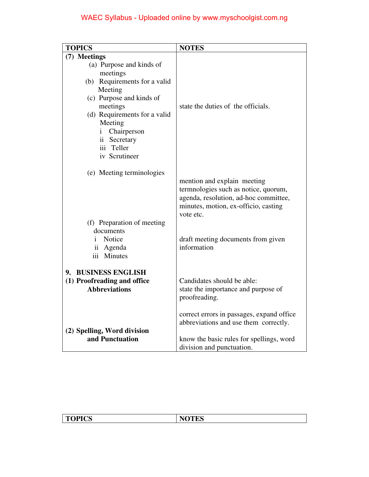| <b>TOPICS</b>                                                                                                                                                                                                                                                    | <b>NOTES</b>                                                                                                                                                      |
|------------------------------------------------------------------------------------------------------------------------------------------------------------------------------------------------------------------------------------------------------------------|-------------------------------------------------------------------------------------------------------------------------------------------------------------------|
| (7) Meetings<br>(a) Purpose and kinds of<br>meetings<br>(b) Requirements for a valid<br>Meeting<br>(c) Purpose and kinds of<br>meetings<br>(d) Requirements for a valid<br>Meeting<br>Chairperson<br>$\mathbf{i}$<br>ii Secretary<br>iii Teller<br>iv Scrutineer | state the duties of the officials.                                                                                                                                |
| (e) Meeting terminologies                                                                                                                                                                                                                                        | mention and explain meeting<br>termnologies such as notice, quorum,<br>agenda, resolution, ad-hoc committee,<br>minutes, motion, ex-officio, casting<br>vote etc. |
| (f) Preparation of meeting<br>documents<br>Notice<br>Ť.<br>ii Agenda<br>iii Minutes                                                                                                                                                                              | draft meeting documents from given<br>information                                                                                                                 |
| 9. BUSINESS ENGLISH<br>(1) Proofreading and office<br><b>Abbreviations</b>                                                                                                                                                                                       | Candidates should be able:<br>state the importance and purpose of<br>proofreading.                                                                                |
| (2) Spelling, Word division<br>and Punctuation                                                                                                                                                                                                                   | correct errors in passages, expand office<br>abbreviations and use them correctly.<br>know the basic rules for spellings, word<br>division and punctuation.       |

| <b>TOPICS</b> | <b>NOTES</b><br><b>TEQ</b> |
|---------------|----------------------------|
|               |                            |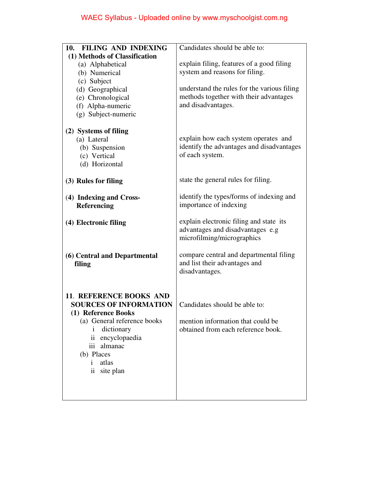| 10. FILING AND INDEXING        | Candidates should be able to:               |
|--------------------------------|---------------------------------------------|
| (1) Methods of Classification  |                                             |
| (a) Alphabetical               | explain filing, features of a good filing   |
| (b) Numerical                  | system and reasons for filing.              |
| (c) Subject                    |                                             |
| (d) Geographical               | understand the rules for the various filing |
| (e) Chronological              | methods together with their advantages      |
| (f) Alpha-numeric              | and disadvantages.                          |
| (g) Subject-numeric            |                                             |
|                                |                                             |
| (2) Systems of filing          |                                             |
| (a) Lateral                    | explain how each system operates and        |
|                                | identify the advantages and disadvantages   |
| (b) Suspension<br>(c) Vertical | of each system.                             |
|                                |                                             |
| (d) Horizontal                 |                                             |
| (3) Rules for filing           | state the general rules for filing.         |
|                                |                                             |
| (4) Indexing and Cross-        | identify the types/forms of indexing and    |
| Referencing                    | importance of indexing                      |
|                                |                                             |
| (4) Electronic filing          | explain electronic filing and state its     |
|                                | advantages and disadvantages e.g            |
|                                | microfilming/micrographics                  |
|                                |                                             |
| (6) Central and Departmental   | compare central and departmental filing     |
| filing                         | and list their advantages and               |
|                                | disadvantages.                              |
|                                |                                             |
|                                |                                             |
| <b>11. REFERENCE BOOKS AND</b> |                                             |
| <b>SOURCES OF INFORMATION</b>  | Candidates should be able to:               |
| (1) Reference Books            |                                             |
| (a) General reference books    | mention information that could be           |
| dictionary<br>$\mathbf{1}$     | obtained from each reference book.          |
| encyclopaedia<br>11            |                                             |
| almanac<br>iii                 |                                             |
| (b) Places                     |                                             |
| atlas<br>Ť                     |                                             |
| site plan<br>$\overline{11}$   |                                             |
|                                |                                             |
|                                |                                             |
|                                |                                             |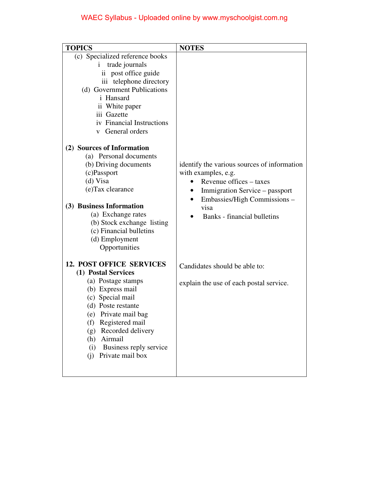| <b>TOPICS</b>                                                                                                                                                                                                                                                                                                                                                                                                                                                                                                                                  | <b>NOTES</b>                                                                                                                                                                                           |
|------------------------------------------------------------------------------------------------------------------------------------------------------------------------------------------------------------------------------------------------------------------------------------------------------------------------------------------------------------------------------------------------------------------------------------------------------------------------------------------------------------------------------------------------|--------------------------------------------------------------------------------------------------------------------------------------------------------------------------------------------------------|
| (c) Specialized reference books<br>trade journals<br>$\mathbf{1}$<br>ii post office guide<br>iii telephone directory<br>(d) Government Publications<br>i Hansard<br>ii White paper<br>iii Gazette<br>iv Financial Instructions<br>General orders<br>$\mathbf{V}$<br>(2) Sources of Information<br>(a) Personal documents<br>(b) Driving documents<br>(c)Passport<br>(d) Visa<br>(e)Tax clearance<br>(3) Business Information<br>(a) Exchange rates<br>(b) Stock exchange listing<br>(c) Financial bulletins<br>(d) Employment<br>Opportunities | identify the various sources of information<br>with examples, e.g.<br>Revenue offices – taxes<br>Immigration Service – passport<br>Embassies/High Commissions -<br>visa<br>Banks - financial bulletins |
| <b>12. POST OFFICE SERVICES</b><br>(1) Postal Services<br>(a) Postage stamps<br>(b) Express mail<br>(c) Special mail<br>(d) Poste restante<br>(e) Private mail bag<br>Registered mail<br>(f)<br>Recorded delivery<br>(g)<br>Airmail<br>(h)<br>Business reply service<br>(i)<br>Private mail box<br>(i)                                                                                                                                                                                                                                         | Candidates should be able to:<br>explain the use of each postal service.                                                                                                                               |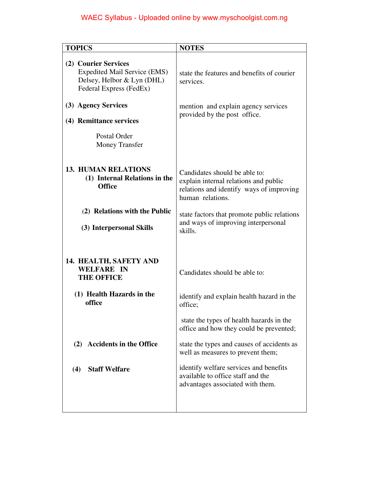| <b>TOPICS</b>                                                                                                        | <b>NOTES</b>                                                                                                                           |
|----------------------------------------------------------------------------------------------------------------------|----------------------------------------------------------------------------------------------------------------------------------------|
| (2) Courier Services<br><b>Expedited Mail Service (EMS)</b><br>Delsey, Helbor & Lyn (DHL)<br>Federal Express (FedEx) | state the features and benefits of courier<br>services.                                                                                |
| (3) Agency Services<br>(4) Remittance services                                                                       | mention and explain agency services<br>provided by the post office.                                                                    |
| Postal Order<br><b>Money Transfer</b>                                                                                |                                                                                                                                        |
| <b>13. HUMAN RELATIONS</b><br>(1) Internal Relations in the<br><b>Office</b>                                         | Candidates should be able to:<br>explain internal relations and public<br>relations and identify ways of improving<br>human relations. |
| (2) Relations with the Public<br>(3) Interpersonal Skills                                                            | state factors that promote public relations<br>and ways of improving interpersonal<br>skills.                                          |
| 14. HEALTH, SAFETY AND<br><b>WELFARE IN</b><br><b>THE OFFICE</b>                                                     | Candidates should be able to:                                                                                                          |
| (1) Health Hazards in the<br>office                                                                                  | identify and explain health hazard in the<br>office;                                                                                   |
|                                                                                                                      | state the types of health hazards in the<br>office and how they could be prevented;                                                    |
| (2) Accidents in the Office                                                                                          | state the types and causes of accidents as<br>well as measures to prevent them;                                                        |
| <b>Staff Welfare</b><br>(4)                                                                                          | identify welfare services and benefits<br>available to office staff and the<br>advantages associated with them.                        |